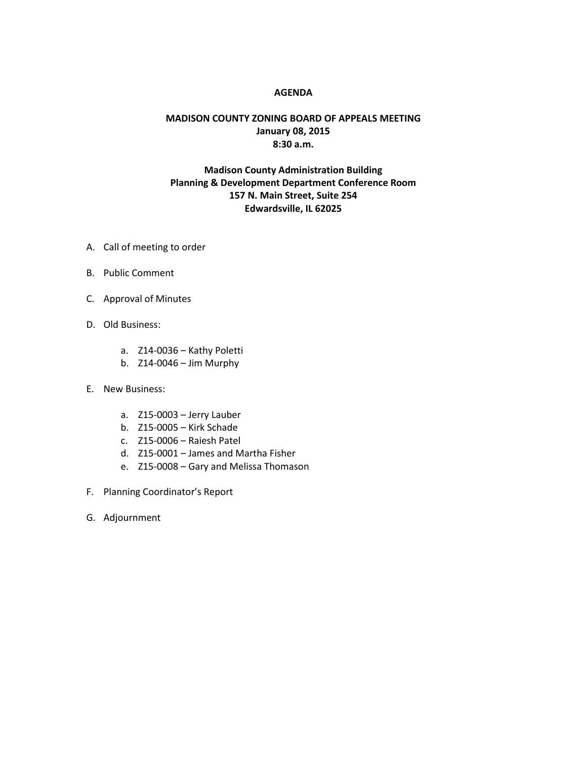#### **AGENDA**

### **MADISON COUNTY ZONING BOARD OF APPEALS MEETING January 08, 2015 8:30 a.m.**

## **Madison County Administration Building Planning & Development Department Conference Room 157 N. Main Street, Suite 254 Edwardsville, IL 62025**

- A. Call of meeting to order
- B. Public Comment
- C. Approval of Minutes
- D. Old Business:
	- a. Z14-0036 Kathy Poletti
	- b. Z14-0046 Jim Murphy
- E. New Business:
	- a. Z15-0003 Jerry Lauber
	- b. Z15-0005 Kirk Schade
	- c. Z15-0006 Raiesh Patel
	- d. Z15-0001 James and Martha Fisher
	- e. Z15-0008 Gary and Melissa Thomason
- F. Planning Coordinator's Report
- G. Adjournment